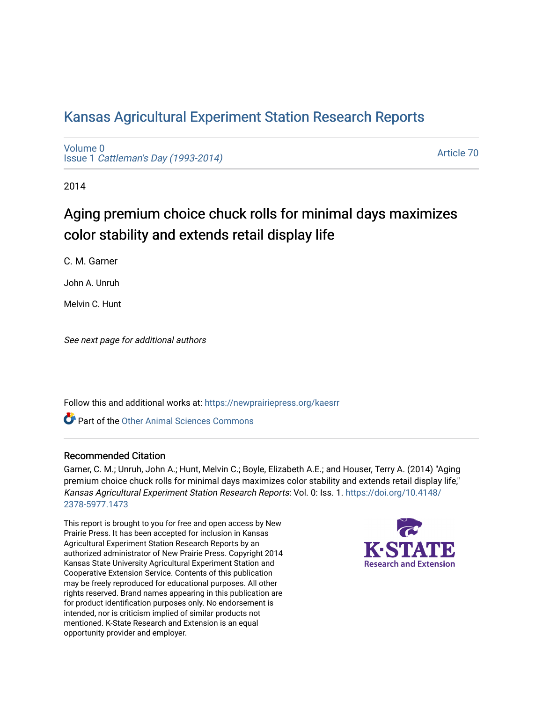## [Kansas Agricultural Experiment Station Research Reports](https://newprairiepress.org/kaesrr)

[Volume 0](https://newprairiepress.org/kaesrr/vol0) Issue 1 [Cattleman's Day \(1993-2014\)](https://newprairiepress.org/kaesrr/vol0/iss1) 

[Article 70](https://newprairiepress.org/kaesrr/vol0/iss1/70) 

2014

# Aging premium choice chuck rolls for minimal days maximizes color stability and extends retail display life

C. M. Garner

John A. Unruh

Melvin C. Hunt

See next page for additional authors

Follow this and additional works at: [https://newprairiepress.org/kaesrr](https://newprairiepress.org/kaesrr?utm_source=newprairiepress.org%2Fkaesrr%2Fvol0%2Fiss1%2F70&utm_medium=PDF&utm_campaign=PDFCoverPages) 

**C** Part of the [Other Animal Sciences Commons](http://network.bepress.com/hgg/discipline/82?utm_source=newprairiepress.org%2Fkaesrr%2Fvol0%2Fiss1%2F70&utm_medium=PDF&utm_campaign=PDFCoverPages)

#### Recommended Citation

Garner, C. M.; Unruh, John A.; Hunt, Melvin C.; Boyle, Elizabeth A.E.; and Houser, Terry A. (2014) "Aging premium choice chuck rolls for minimal days maximizes color stability and extends retail display life," Kansas Agricultural Experiment Station Research Reports: Vol. 0: Iss. 1. [https://doi.org/10.4148/](https://doi.org/10.4148/2378-5977.1473) [2378-5977.1473](https://doi.org/10.4148/2378-5977.1473) 

This report is brought to you for free and open access by New Prairie Press. It has been accepted for inclusion in Kansas Agricultural Experiment Station Research Reports by an authorized administrator of New Prairie Press. Copyright 2014 Kansas State University Agricultural Experiment Station and Cooperative Extension Service. Contents of this publication may be freely reproduced for educational purposes. All other rights reserved. Brand names appearing in this publication are for product identification purposes only. No endorsement is intended, nor is criticism implied of similar products not mentioned. K-State Research and Extension is an equal opportunity provider and employer.

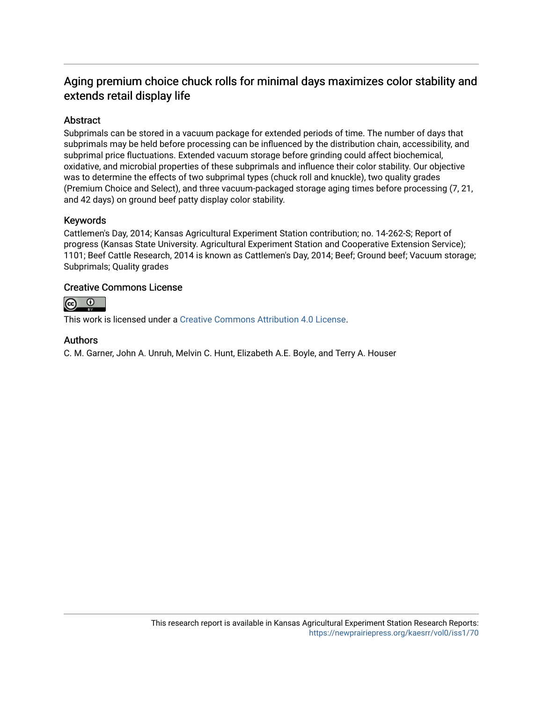### Aging premium choice chuck rolls for minimal days maximizes color stability and extends retail display life

### Abstract

Subprimals can be stored in a vacuum package for extended periods of time. The number of days that subprimals may be held before processing can be influenced by the distribution chain, accessibility, and subprimal price fluctuations. Extended vacuum storage before grinding could affect biochemical, oxidative, and microbial properties of these subprimals and influence their color stability. Our objective was to determine the effects of two subprimal types (chuck roll and knuckle), two quality grades (Premium Choice and Select), and three vacuum-packaged storage aging times before processing (7, 21, and 42 days) on ground beef patty display color stability.

### Keywords

Cattlemen's Day, 2014; Kansas Agricultural Experiment Station contribution; no. 14-262-S; Report of progress (Kansas State University. Agricultural Experiment Station and Cooperative Extension Service); 1101; Beef Cattle Research, 2014 is known as Cattlemen's Day, 2014; Beef; Ground beef; Vacuum storage; Subprimals; Quality grades

### Creative Commons License



This work is licensed under a [Creative Commons Attribution 4.0 License](https://creativecommons.org/licenses/by/4.0/).

#### Authors

C. M. Garner, John A. Unruh, Melvin C. Hunt, Elizabeth A.E. Boyle, and Terry A. Houser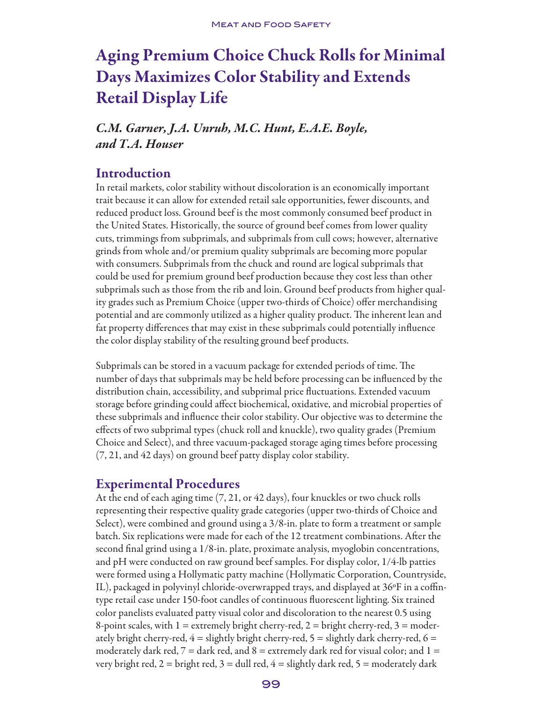# Aging Premium Choice Chuck Rolls for Minimal Days Maximizes Color Stability and Extends Retail Display Life

## *C.M. Garner, J.A. Unruh, M.C. Hunt, E.A.E. Boyle, and T.A. Houser*

### Introduction

In retail markets, color stability without discoloration is an economically important trait because it can allow for extended retail sale opportunities, fewer discounts, and reduced product loss. Ground beef is the most commonly consumed beef product in the United States. Historically, the source of ground beef comes from lower quality cuts, trimmings from subprimals, and subprimals from cull cows; however, alternative grinds from whole and/or premium quality subprimals are becoming more popular with consumers. Subprimals from the chuck and round are logical subprimals that could be used for premium ground beef production because they cost less than other subprimals such as those from the rib and loin. Ground beef products from higher quality grades such as Premium Choice (upper two-thirds of Choice) offer merchandising potential and are commonly utilized as a higher quality product. The inherent lean and fat property differences that may exist in these subprimals could potentially influence the color display stability of the resulting ground beef products.

Subprimals can be stored in a vacuum package for extended periods of time. The number of days that subprimals may be held before processing can be influenced by the distribution chain, accessibility, and subprimal price fluctuations. Extended vacuum storage before grinding could affect biochemical, oxidative, and microbial properties of these subprimals and influence their color stability. Our objective was to determine the effects of two subprimal types (chuck roll and knuckle), two quality grades (Premium Choice and Select), and three vacuum-packaged storage aging times before processing (7, 21, and 42 days) on ground beef patty display color stability.

### Experimental Procedures

At the end of each aging time (7, 21, or 42 days), four knuckles or two chuck rolls representing their respective quality grade categories (upper two-thirds of Choice and Select), were combined and ground using a 3/8-in. plate to form a treatment or sample batch. Six replications were made for each of the 12 treatment combinations. After the second final grind using a 1/8-in. plate, proximate analysis, myoglobin concentrations, and pH were conducted on raw ground beef samples. For display color, 1/4-lb patties were formed using a Hollymatic patty machine (Hollymatic Corporation, Countryside, IL), packaged in polyvinyl chloride-overwrapped trays, and displayed at 36ºF in a coffintype retail case under 150-foot candles of continuous fluorescent lighting. Six trained color panelists evaluated patty visual color and discoloration to the nearest 0.5 using 8-point scales, with  $1 =$  extremely bright cherry-red,  $2 =$  bright cherry-red,  $3 =$  moderately bright cherry-red,  $4 =$  slightly bright cherry-red,  $5 =$  slightly dark cherry-red,  $6 =$ moderately dark red,  $7 =$  dark red, and  $8 =$  extremely dark red for visual color; and  $1 =$ very bright red,  $2 =$  bright red,  $3 =$  dull red,  $4 =$  slightly dark red,  $5 =$  moderately dark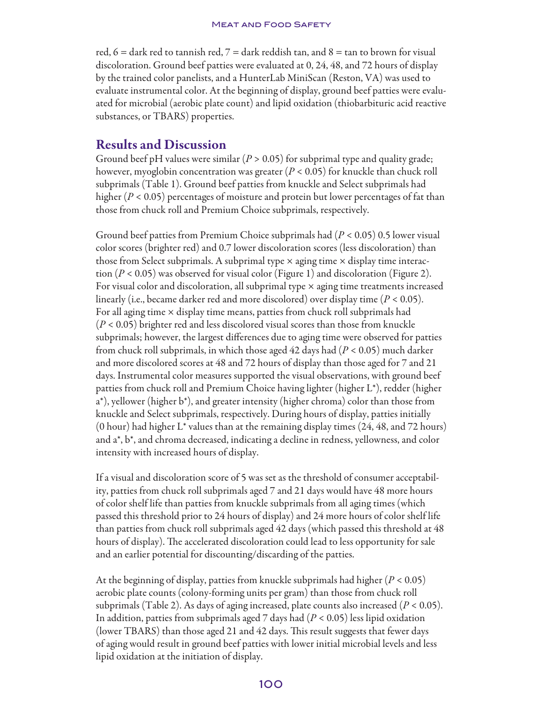red,  $6 =$  dark red to tannish red,  $7 =$  dark reddish tan, and  $8 =$  tan to brown for visual discoloration. Ground beef patties were evaluated at 0, 24, 48, and 72 hours of display by the trained color panelists, and a HunterLab MiniScan (Reston, VA) was used to evaluate instrumental color. At the beginning of display, ground beef patties were evaluated for microbial (aerobic plate count) and lipid oxidation (thiobarbituric acid reactive substances, or TBARS) properties.

### Results and Discussion

Ground beef pH values were similar ( $P > 0.05$ ) for subprimal type and quality grade; however, myoglobin concentration was greater (*P* < 0.05) for knuckle than chuck roll subprimals (Table 1). Ground beef patties from knuckle and Select subprimals had higher (*P* < 0.05) percentages of moisture and protein but lower percentages of fat than those from chuck roll and Premium Choice subprimals, respectively.

Ground beef patties from Premium Choice subprimals had (*P* < 0.05) 0.5 lower visual color scores (brighter red) and 0.7 lower discoloration scores (less discoloration) than those from Select subprimals. A subprimal type  $\times$  aging time  $\times$  display time interaction (*P* < 0.05) was observed for visual color (Figure 1) and discoloration (Figure 2). For visual color and discoloration, all subprimal type  $\times$  aging time treatments increased linearly (i.e., became darker red and more discolored) over display time (*P* < 0.05). For all aging time  $\times$  display time means, patties from chuck roll subprimals had (*P* < 0.05) brighter red and less discolored visual scores than those from knuckle subprimals; however, the largest differences due to aging time were observed for patties from chuck roll subprimals, in which those aged 42 days had (*P* < 0.05) much darker and more discolored scores at 48 and 72 hours of display than those aged for 7 and 21 days. Instrumental color measures supported the visual observations, with ground beef patties from chuck roll and Premium Choice having lighter (higher L\*), redder (higher a\*), yellower (higher b\*), and greater intensity (higher chroma) color than those from knuckle and Select subprimals, respectively. During hours of display, patties initially (0 hour) had higher  $L^*$  values than at the remaining display times  $(24, 48, \text{ and } 72 \text{ hours})$ and a\*, b\*, and chroma decreased, indicating a decline in redness, yellowness, and color intensity with increased hours of display.

If a visual and discoloration score of 5 was set as the threshold of consumer acceptability, patties from chuck roll subprimals aged 7 and 21 days would have 48 more hours of color shelf life than patties from knuckle subprimals from all aging times (which passed this threshold prior to 24 hours of display) and 24 more hours of color shelf life than patties from chuck roll subprimals aged 42 days (which passed this threshold at 48 hours of display). The accelerated discoloration could lead to less opportunity for sale and an earlier potential for discounting/discarding of the patties.

At the beginning of display, patties from knuckle subprimals had higher (*P* < 0.05) aerobic plate counts (colony-forming units per gram) than those from chuck roll subprimals (Table 2). As days of aging increased, plate counts also increased (*P* < 0.05). In addition, patties from subprimals aged 7 days had (*P* < 0.05) less lipid oxidation (lower TBARS) than those aged 21 and 42 days. This result suggests that fewer days of aging would result in ground beef patties with lower initial microbial levels and less lipid oxidation at the initiation of display.

### 100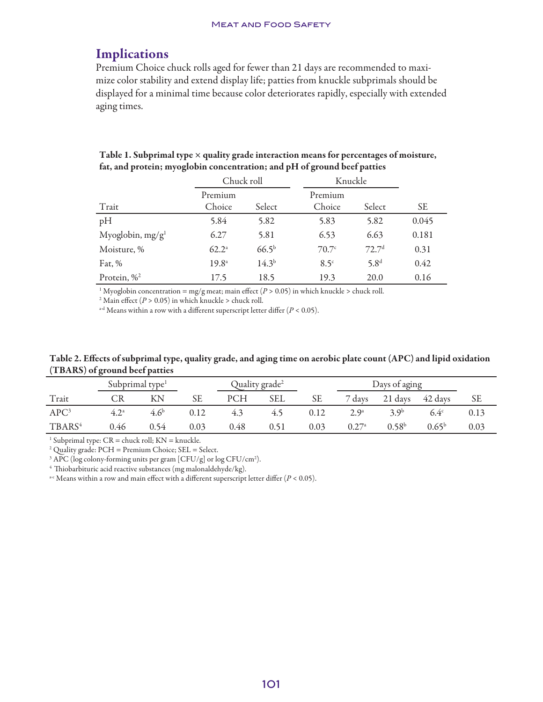#### **MEAT AND FOOD SAFETY**

### Implications

Premium Choice chuck rolls aged for fewer than 21 days are recommended to maximize color stability and extend display life; patties from knuckle subprimals should be displayed for a minimal time because color deteriorates rapidly, especially with extended aging times.

| Table 1. Subprimal type $\times$ quality grade interaction means for percentages of moisture, |  |
|-----------------------------------------------------------------------------------------------|--|
| fat, and protein; myoglobin concentration; and pH of ground beef patties                      |  |

|                        | Chuck roll     |            |             | Knuckle           |           |  |
|------------------------|----------------|------------|-------------|-------------------|-----------|--|
|                        | Premium        |            | Premium     |                   |           |  |
| Trait                  | Choice         | Select     | Choice      | Select            | <b>SE</b> |  |
| pH                     | 5.84           | 5.82       | 5.83        | 5.82              | 0.045     |  |
| Myoglobin, $mg/g1$     | 6.27           | 5.81       | 6.53        | 6.63              | 0.181     |  |
| Moisture, %            | $62.2^{\circ}$ | $66.5^{b}$ | 70.7c       | 72.7 <sup>d</sup> | 0.31      |  |
| Fat, $%$               | $19.8^{\circ}$ | $14.3^{b}$ | $8.5^\circ$ | 5.8 <sup>d</sup>  | 0.42      |  |
| Protein, $\frac{1}{2}$ | 17.5           | 18.5       | 19.3        | 20.0              | 0.16      |  |

<sup>1</sup> Myoglobin concentration = mg/g meat; main effect ( $P > 0.05$ ) in which knuckle > chuck roll.

<sup>2</sup> Main effect ( $P > 0.05$ ) in which knuckle > chuck roll.

<sup>a-d</sup> Means within a row with a different superscript letter differ  $(P < 0.05)$ .

Table 2. Effects of subprimal type, quality grade, and aging time on aerobic plate count (APC) and lipid oxidation (TBARS) of ground beef patties

|                    | Subprimal type <sup>1</sup> |                  |      | Quality grade <sup>2</sup> |            | Days of aging |               |                   |                 |           |
|--------------------|-----------------------------|------------------|------|----------------------------|------------|---------------|---------------|-------------------|-----------------|-----------|
| Trait              |                             | КN               | SЕ   | <b>PCH</b>                 | <b>SEL</b> | SЕ            | 7 days        |                   | 21 days 42 days | <b>SE</b> |
| APC <sup>3</sup>   | $4.2^{\circ}$               | 4.6 <sup>b</sup> | 0.12 | 4.3                        | 4.5        | 0.12          | $2.9^{\circ}$ | 3.9 <sup>b</sup>  | $6.4^{\circ}$   | 0.13      |
| TBARS <sup>4</sup> | 0.46                        | 0.54             | 0.03 | 0.48                       | 0.51       | 0.03          | 0.27a         | 0.58 <sup>b</sup> | $0.65^{\rm b}$  | 0.03      |

<sup>1</sup> Subprimal type:  $CR =$  chuck roll;  $KN =$  knuckle.

2 Quality grade: PCH = Premium Choice; SEL = Select.

 $3$  APC (log colony-forming units per gram [CFU/g] or log CFU/cm<sup>2</sup>).

4 Thiobarbituric acid reactive substances (mg malonaldehyde/kg).

<sup>a-c</sup> Means within a row and main effect with a different superscript letter differ  $(P < 0.05)$ .